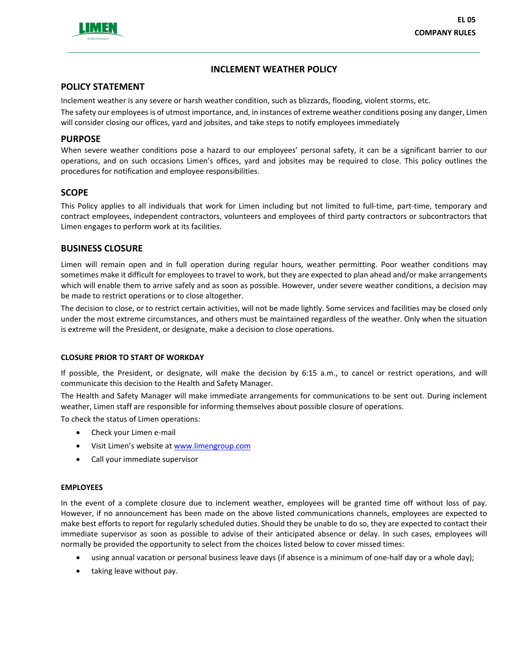

# **INCLEMENT WEATHER POLICY**

### **POLICY STATEMENT**

Inclement weather is any severe or harsh weather condition, such as blizzards, flooding, violent storms, etc.

The safety our employees is of utmost importance, and, in instances of extreme weather conditions posing any danger, Limen will consider closing our offices, yard and jobsites, and take steps to notify employees immediately

## **PURPOSE**

When severe weather conditions pose a hazard to our employees' personal safety, it can be a significant barrier to our operations, and on such occasions Limen's offices, yard and jobsites may be required to close. This policy outlines the procedures for notification and employee responsibilities.

## **SCOPE**

This Policy applies to all individuals that work for Limen including but not limited to full-time, part-time, temporary and contract employees, independent contractors, volunteers and employees of third party contractors or subcontractors that Limen engages to perform work at its facilities.

## **BUSINESS CLOSURE**

Limen will remain open and in full operation during regular hours, weather permitting. Poor weather conditions may sometimes make it difficult for employees to travel to work, but they are expected to plan ahead and/or make arrangements which will enable them to arrive safely and as soon as possible. However, under severe weather conditions, a decision may be made to restrict operations or to close altogether.

The decision to close, or to restrict certain activities, will not be made lightly. Some services and facilities may be closed only under the most extreme circumstances, and others must be maintained regardless of the weather. Only when the situation is extreme will the President, or designate, make a decision to close operations.

### **CLOSURE PRIOR TO START OF WORKDAY**

If possible, the President, or designate, will make the decision by 6:15 a.m., to cancel or restrict operations, and will communicate this decision to the Health and Safety Manager.

The Health and Safety Manager will make immediate arrangements for communications to be sent out. During inclement weather, Limen staff are responsible for informing themselves about possible closure of operations.

To check the status of Limen operations:

- Check your Limen e-mail
- Visit Limen's website a[t www.limengroup.com](http://www.limengroup.com/)
- Call your immediate supervisor

#### **EMPLOYEES**

In the event of a complete closure due to inclement weather, employees will be granted time off without loss of pay. However, if no announcement has been made on the above listed communications channels, employees are expected to make best efforts to report for regularly scheduled duties. Should they be unable to do so, they are expected to contact their immediate supervisor as soon as possible to advise of their anticipated absence or delay. In such cases, employees will normally be provided the opportunity to select from the choices listed below to cover missed times:

- using annual vacation or personal business leave days (if absence is a minimum of one-half day or a whole day);
- taking leave without pay.